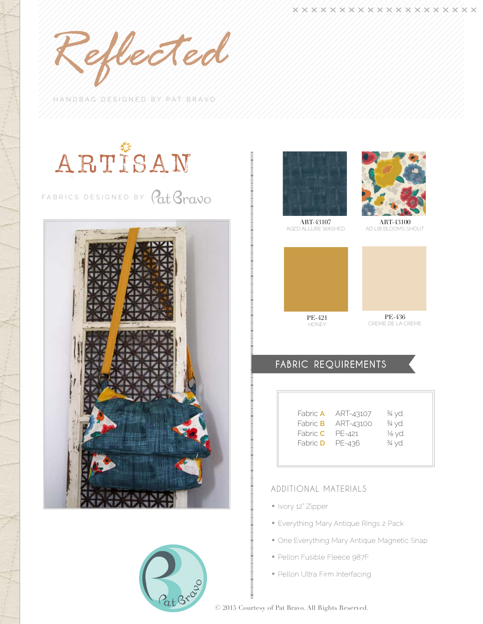*Reflected*

HANDBAG DESIGNED BY PAT BRAVO







ART-43107 AGED ALLURE WASHED



ART-43100 AD LIB BLOOMS SHOUT





Creme DE LA CREME

# FABRIC REQUIREMENTS

| Fabric <b>A</b> | ART-43107 | 3⁄4 yd. |
|-----------------|-----------|---------|
| Fabric <b>B</b> | ART-43100 | 3⁄4 yd. |
| Fabric C        | PE-421    | ½ yd.   |
| Fabric <b>D</b> | PE-436    | 3⁄4 yd. |
|                 |           |         |

## Additional Materials

- Ivory 12" Zipper
- Everything Mary Antique Rings 2 Pack
- One Everything Mary Antique Magnetic Snap
- Pellon Fusible Fleece 987F
- Pellon Ultra Firm Interfacing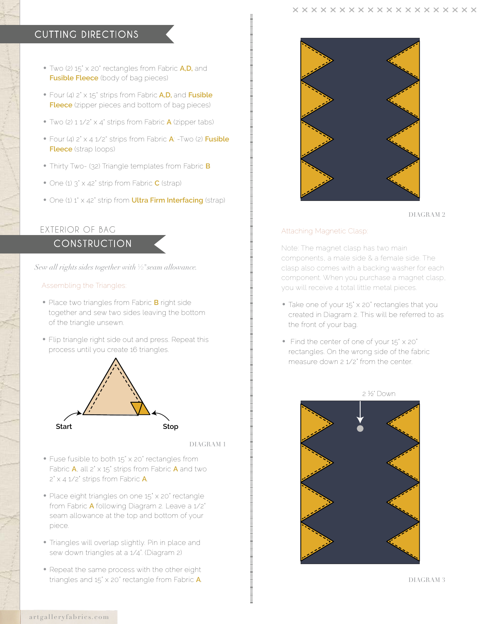# Cutting directions

- Two (2) 15" x 20" rectangles from Fabric **A,D,** and **Fusible Fleece** (body of bag pieces)
- • Four (4) 2" x 15" strips from Fabric **A,D,** and **Fusible Fleece** (zipper pieces and bottom of bag pieces)
- • Two (2) 1 1/2" x 4" strips from Fabric **A** (zipper tabs)
- • Four (4) 2" x 4 1/2" strips from Fabric **A**: -Two (2) **Fusible Fleece** (strap loops)
- Thirty Two- (32) Triangle templates from Fabric **B**
- • One (1) 3" x 42" strip from Fabric **C** (strap)
- One (1) 1<sup>'</sup> x 42<sup>'</sup> strip from **Ultra Firm Interfacing** (strap)

## Exterior of Bag

**CONSTRUCTION** 

*Sew all rights sides together with* ½"*seam allowance.*

## Assembling the Triangles:

- Place two triangles from Fabric **B** right side together and sew two sides leaving the bottom of the triangle unsewn.
- Flip triangle right side out and press. Repeat this process until you create 16 triangles.



DIAGRAM 1

- Fuse fusible to both 15" x 20" rectangles from Fabric **A**, all 2" x 15" strips from Fabric **A** and two 2" x 4 1/2" strips from Fabric **A**.
- Place eight triangles on one 15" x 20" rectangle from Fabric **A** following Diagram 2. Leave a 1/2" seam allowance at the top and bottom of your piece.
- Triangles will overlap slightly. Pin in place and sew down triangles at a 1/4". (Diagram 2)
- Repeat the same process with the other eight triangles and 15" x 20" rectangle from Fabric **A**.



DIAGRAM 2

## Attaching Magnetic Clasp:

Note: The magnet clasp has two main components, a male side & a female side. The clasp also comes with a backing washer for each component. When you purchase a magnet clasp, you will receive 4 total little metal pieces.

- Take one of your 15" x 20" rectangles that you created in Diagram 2. This will be referred to as the front of your bag.
- Find the center of one of your 15" x 20" rectangles. On the wrong side of the fabric measure down 2 1/2" from the center.



2 ½" Down

DIAGRAM 3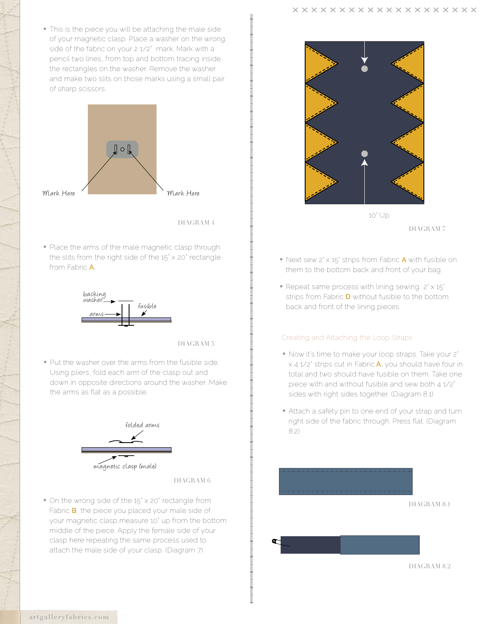• This is the piece you will be attaching the male side of your magnetic clasp. Place a washer on the wrong side of the fabric on your 2 1/2" mark. Mark with a pencil two lines, from top and bottom tracing inside the rectangles on the washer. Remove the washer and make two slits on those marks using a small pair of sharp scissors.



DIAGRAM 4

• Place the arms of the male magnetic clasp through the slits from the right side of the 15" x 20" rectangle from Fabric **A**.



DIAGRAM 5

• Put the washer over the arms from the fusible side. Using pliers, fold each arm of the clasp out and down in opposite directions around the washer. Make the arms as flat as a possible.



magnetic clasp (male)

DIAGRAM 6

• On the wrong side of the 15" x 20" rectangle from Fabric **B**, the piece you placed your male side of your magnetic clasp,measure 10" up from the bottom middle of the piece. Apply the female side of your clasp here repeating the same process used to attach the male side of your clasp. (Diagram 7)



- DIAGRAM 7
- Next sew 2' x 15' strips from Fabric **A** with fusible on them to the bottom back and front of your bag.
- Repeat same process with lining sewing  $2' \times 15'$ strips from Fabric **D** without fusible to the bottom back and front of the lining pieces.

## Creating and Attaching the Loop Straps

- Now it's time to make your loop straps. Take your 2" x 4 1/2" strips cut in Fabric **A**, you should have four in total and two should have fusible on them. Take one piece with and without fusible and sew both 4 1/2" sides with right sides together. (Diagram 8.1)
- Attach a safety pin to one end of your strap and turn right side of the fabric through. Press flat. (Diagram 8.2)

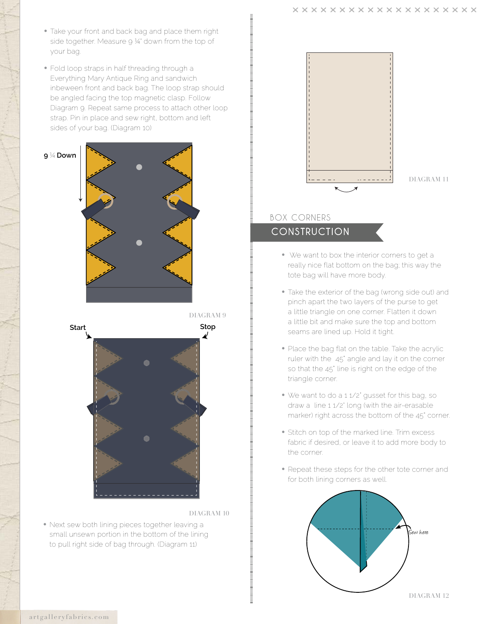- Take your front and back bag and place them right side together. Measure 9 1/4" down from the top of your bag.
- Fold loop straps in half threading through a Everything Mary Antique Ring and sandwich inbeween front and back bag. The loop strap should be angled facing the top magnetic clasp. Follow Diagram 9. Repeat same process to attach other loop strap. Pin in place and sew right, bottom and left sides of your bag. (Diagram 10)





#### DIAGRAM 10

• Next sew both lining pieces together leaving a small unsewn portion in the bottom of the lining to pull right side of bag through. (Diagram 11)



DIAGRAM 11

# **CONSTRUCTION** Box Corners

- We want to box the interior corners to get a really nice flat bottom on the bag; this way the tote bag will have more body.
- Take the exterior of the bag (wrong side out) and pinch apart the two layers of the purse to get a little triangle on one corner. Flatten it down a little bit and make sure the top and bottom seams are lined up. Hold it tight.
- Place the bag flat on the table. Take the acrylic ruler with the 45° angle and lay it on the corner so that the 45° line is right on the edge of the triangle corner.
- We want to do a 11/2" gusset for this bag, so draw a line 1 1/2" long (with the air-erasable marker) right across the bottom of the 45° corner.
- Stitch on top of the marked line. Trim excess fabric if desired, or leave it to add more body to the corner.
- Repeat these steps for the other tote corner and for both lining corners as well.



artgalleryfabrics.com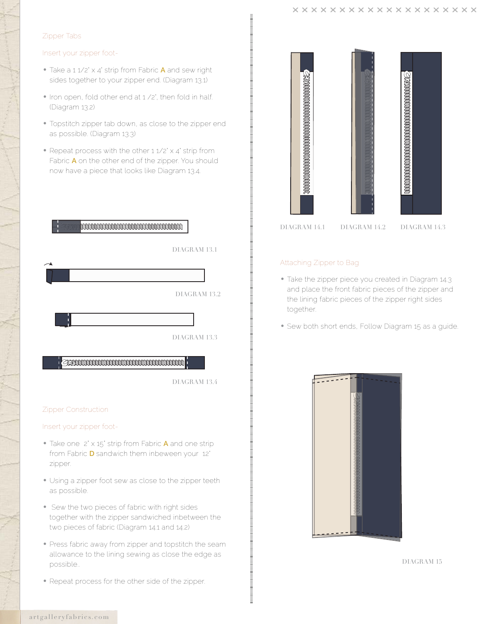## Zipper Tabs

### Insert your zipper foot-

- Take a 1 1/2' x 4' strip from Fabric **A** and sew right sides together to your zipper end. (Diagram 13.1)
- Iron open, fold other end at 1 /2', then fold in half. (Diagram 13.2)
- Topstitch zipper tab down, as close to the zipper end as possible. (Diagram 13.3)
- Repeat process with the other 11/2' x 4' strip from Fabric **A** on the other end of the zipper. You should now have a piece that looks like Diagram 13.4.



DIAGRAM 13.4

### Zipper Construction

Insert your zipper foot-

- Take one 2" x 15" strip from Fabric **A** and one strip from Fabric **D** sandwich them inbeween your 12" zipper.
- Using a zipper foot sew as close to the zipper teeth as possible.
- Sew the two pieces of fabric with right sides together with the zipper sandwiched inbetween the two pieces of fabric (Diagram 14.1 and 14.2)
- Press fabric away from zipper and topstitch the seam allowance to the lining sewing as close the edge as possible..
- Repeat process for the other side of the zipper.

| DIAGRAM 14.1 DIAGRAM 14.2 | DIAGRAM 14.3 |
|---------------------------|--------------|

## Attaching Zipper to Bag

- Take the zipper piece you created in Diagram 14.3 and place the front fabric pieces of the zipper and the lining fabric pieces of the zipper right sides together.
- Sew both short ends, Follow Diagram 15 as a guide.



DIAGRAM 15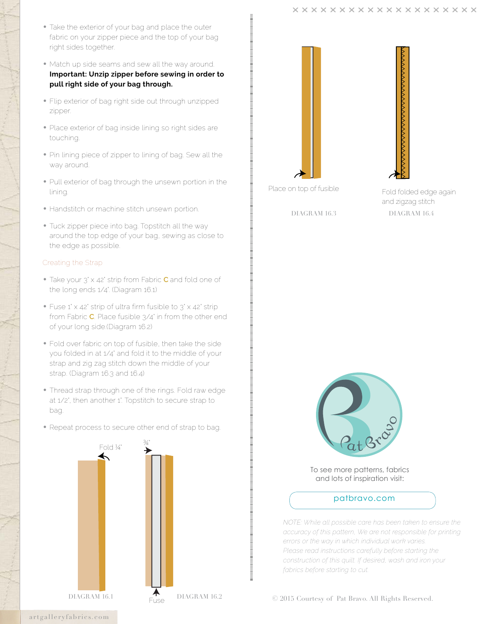- Take the exterior of your bag and place the outer fabric on your zipper piece and the top of your bag right sides together.
- Match up side seams and sew all the way around. **Important: Unzip zipper before sewing in order to pull right side of your bag through.**
- Flip exterior of bag right side out through unzipped zipper.
- Place exterior of bag inside lining so right sides are touching.
- Pin lining piece of zipper to lining of bag. Sew all the way around.
- Pull exterior of bag through the unsewn portion in the lining.
- Handstitch or machine stitch unsewn portion.
- Tuck zipper piece into bag. Topstitch all the way around the top edge of your bag, sewing as close to the edge as possible.

## Creating the Strap

- Take your 3' x 42' strip from Fabric **C** and fold one of the long ends 1/4". (Diagram 16.1)
- Fuse 1' x 42' strip of ultra firm fusible to  $3'$  x 42' strip from Fabric **C**. Place fusible 3/4" in from the other end of your long side.(Diagram 16.2)
- Fold over fabric on top of fusible, then take the side you folded in at 1/4" and fold it to the middle of your strap and zig zag stitch down the middle of your strap. (Diagram 16.3 and 16.4)
- Thread strap through one of the rings. Fold raw edge at 1/2', then another 1'. Topstitch to secure strap to bag.
- Repeat process to secure other end of strap to bag.





Fold folded edge again and zigzag stitch



To see more patterns, fabrics and lots of inspiration visit:

## patbravo.com

*NOTE: While all possible care has been taken to ensure the accuracy of this pattern, We are not responsible for printing errors or the way in which individual work varies. Please read instructions carefully before starting the construction of this quilt. If desired, wash and iron your fabrics before starting to cut.*